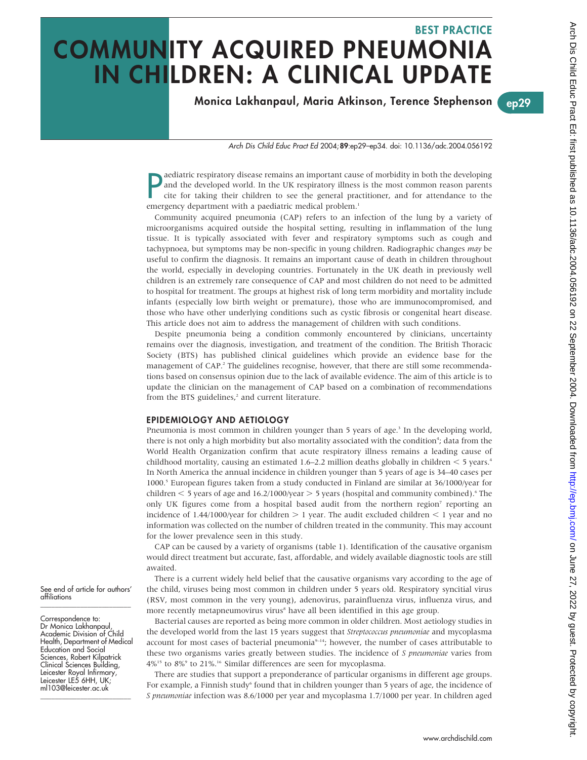# BEST PRACTICE COMMUNITY ACQUIRED PNEUMONIA IN CHILDREN: A CLINICAL UPDATE

Monica Lakhanpaul, Maria Atkinson, Terence Stephenson ep29

Arch Dis Child Educ Pract Ed 2004;89:ep29–ep34. doi: 10.1136/adc.2004.056192

**P** aediatric respiratory disease remains an important cause and the developed world. In the UK respiratory illness cite for taking their children to see the general praemergency department with a paediatric medical proble aediatric respiratory disease remains an important cause of morbidity in both the developing and the developed world. In the UK respiratory illness is the most common reason parents cite for taking their children to see the general practitioner, and for attendance to the

Community acquired pneumonia (CAP) refers to an infection of the lung by a variety of microorganisms acquired outside the hospital setting, resulting in inflammation of the lung tissue. It is typically associated with fever and respiratory symptoms such as cough and tachypnoea, but symptoms may be non-specific in young children. Radiographic changes may be useful to confirm the diagnosis. It remains an important cause of death in children throughout the world, especially in developing countries. Fortunately in the UK death in previously well children is an extremely rare consequence of CAP and most children do not need to be admitted to hospital for treatment. The groups at highest risk of long term morbidity and mortality include infants (especially low birth weight or premature), those who are immunocompromised, and those who have other underlying conditions such as cystic fibrosis or congenital heart disease. This article does not aim to address the management of children with such conditions.

Despite pneumonia being a condition commonly encountered by clinicians, uncertainty remains over the diagnosis, investigation, and treatment of the condition. The British Thoracic Society (BTS) has published clinical guidelines which provide an evidence base for the management of CAP.<sup>2</sup> The guidelines recognise, however, that there are still some recommendations based on consensus opinion due to the lack of available evidence. The aim of this article is to update the clinician on the management of CAP based on a combination of recommendations from the BTS guidelines,<sup>2</sup> and current literature.

# EPIDEMIOLOGY AND AETIOLOGY

Pneumonia is most common in children younger than 5 years of age.<sup>3</sup> In the developing world, there is not only a high morbidity but also mortality associated with the condition<sup>4</sup>; data from the World Health Organization confirm that acute respiratory illness remains a leading cause of childhood mortality, causing an estimated 1.6–2.2 million deaths globally in children  $<$  5 years.<sup>4</sup> In North America the annual incidence in children younger than 5 years of age is 34–40 cases per 1000.5 European figures taken from a study conducted in Finland are similar at 36/1000/year for children  $\le$  5 years of age and 16.2/1000/year  $>$  5 years (hospital and community combined).<sup>6</sup> The only UK figures come from a hospital based audit from the northern region<sup>7</sup> reporting an incidence of 1.44/1000/year for children  $> 1$  year. The audit excluded children  $< 1$  year and no information was collected on the number of children treated in the community. This may account for the lower prevalence seen in this study.

CAP can be caused by a variety of organisms (table 1). Identification of the causative organism would direct treatment but accurate, fast, affordable, and widely available diagnostic tools are still awaited.

There is a current widely held belief that the causative organisms vary according to the age of the child, viruses being most common in children under 5 years old. Respiratory syncitial virus (RSV, most common in the very young), adenovirus, parainfluenza virus, influenza virus, and more recently metapneumovirus virus<sup>8</sup> have all been identified in this age group.

Bacterial causes are reported as being more common in older children. Most aetiology studies in the developed world from the last 15 years suggest that Streptococcus pneumoniae and mycoplasma account for most cases of bacterial pneumonia<sup>9-14</sup>; however, the number of cases attributable to these two organisms varies greatly between studies. The incidence of S pneumoniae varies from  $4\%$ <sup>15</sup> to  $8\%$ <sup>9</sup> to 21%.<sup>16</sup> Similar differences are seen for mycoplasma.

There are studies that support a preponderance of particular organisms in different age groups. For example, a Finnish study<sup>6</sup> found that in children younger than 5 years of age, the incidence of S pneumoniae infection was 8.6/1000 per year and mycoplasma 1.7/1000 per year. In children aged

See end of article for authors' affiliations \_\_\_\_\_\_\_\_\_\_\_\_\_\_\_\_\_\_\_\_\_\_\_\_\_

Correspondence to: Dr Monica Lakhanpaul, Academic Division of Child Health, Department of Medical Education and Social Sciences, Robert Kilpatrick Clinical Sciences Building, Leicester Royal Infirmary, Leicester LE5 6HH, UK; ml103@leicester.ac.uk \_\_\_\_\_\_\_\_\_\_\_\_\_\_\_\_\_\_\_\_\_\_\_\_\_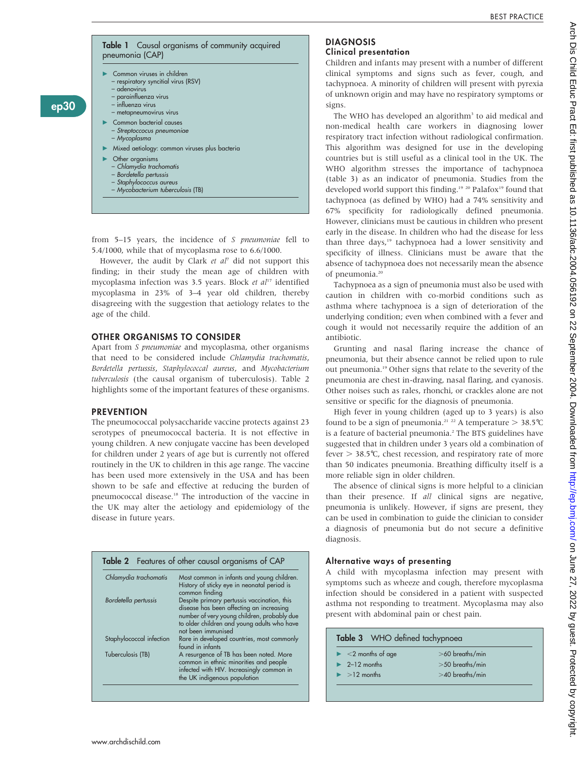

from 5–15 years, the incidence of S pneumoniae fell to 5.4/1000, while that of mycoplasma rose to 6.6/1000.

However, the audit by Clark et  $a^{\dagger}$  did not support this finding; in their study the mean age of children with mycoplasma infection was 3.5 years. Block et  $al<sup>17</sup>$  identified mycoplasma in 23% of 3–4 year old children, thereby disagreeing with the suggestion that aetiology relates to the age of the child.

# OTHER ORGANISMS TO CONSIDER

Apart from S pneumoniae and mycoplasma, other organisms that need to be considered include Chlamydia trachomatis, Bordetella pertussis, Staphylococcal aureus, and Mycobacterium tuberculosis (the causal organism of tuberculosis). Table 2 highlights some of the important features of these organisms.

#### **PREVENTION**

ep30

The pneumococcal polysaccharide vaccine protects against 23 serotypes of pneumococcal bacteria. It is not effective in young children. A new conjugate vaccine has been developed for children under 2 years of age but is currently not offered routinely in the UK to children in this age range. The vaccine has been used more extensively in the USA and has been shown to be safe and effective at reducing the burden of pneumococcal disease.<sup>18</sup> The introduction of the vaccine in the UK may alter the aetiology and epidemiology of the disease in future years.

|                          | <b>Table 2</b> Features of other causal organisms of CAP                                                                                                                                                    |
|--------------------------|-------------------------------------------------------------------------------------------------------------------------------------------------------------------------------------------------------------|
| Chlamydia trachomatis    | Most common in infants and young children.<br>History of sticky eye in neonatal period is<br>common finding                                                                                                 |
| Bordetella pertussis     | Despite primary pertussis vaccination, this<br>disease has been affecting an increasing<br>number of very young children, probably due<br>to older children and young adults who have<br>not been immunised |
| Staphylococcal infection | Rare in developed countries, most commonly<br>found in infants                                                                                                                                              |
| Tuberculosis (TB)        | A resurgence of TB has been noted. More<br>common in ethnic minorities and people<br>infected with HIV. Increasingly common in<br>the UK indigenous population                                              |

#### DIAGNOSIS Clinical presentation

Children and infants may present with a number of different clinical symptoms and signs such as fever, cough, and tachypnoea. A minority of children will present with pyrexia of unknown origin and may have no respiratory symptoms or signs.

The WHO has developed an algorithm<sup>3</sup> to aid medical and non-medical health care workers in diagnosing lower respiratory tract infection without radiological confirmation. This algorithm was designed for use in the developing countries but is still useful as a clinical tool in the UK. The WHO algorithm stresses the importance of tachypnoea (table 3) as an indicator of pneumonia. Studies from the developed world support this finding.<sup>19 20</sup> Palafox<sup>19</sup> found that tachypnoea (as defined by WHO) had a 74% sensitivity and 67% specificity for radiologically defined pneumonia. However, clinicians must be cautious in children who present early in the disease. In children who had the disease for less than three days,<sup>19</sup> tachypnoea had a lower sensitivity and specificity of illness. Clinicians must be aware that the absence of tachypnoea does not necessarily mean the absence of pneumonia.<sup>20</sup>

Tachypnoea as a sign of pneumonia must also be used with caution in children with co-morbid conditions such as asthma where tachypnoea is a sign of deterioration of the underlying condition; even when combined with a fever and cough it would not necessarily require the addition of an antibiotic.

Grunting and nasal flaring increase the chance of pneumonia, but their absence cannot be relied upon to rule out pneumonia.19 Other signs that relate to the severity of the pneumonia are chest in-drawing, nasal flaring, and cyanosis. Other noises such as rales, rhonchi, or crackles alone are not sensitive or specific for the diagnosis of pneumonia.

High fever in young children (aged up to 3 years) is also found to be a sign of pneumonia.<sup>21</sup> <sup>22</sup> A temperature  $>$  38.5°C is a feature of bacterial pneumonia.<sup>2</sup> The BTS guidelines have suggested that in children under 3 years old a combination of fever  $> 38.5$ °C, chest recession, and respiratory rate of more than 50 indicates pneumonia. Breathing difficulty itself is a more reliable sign in older children.

The absence of clinical signs is more helpful to a clinician than their presence. If all clinical signs are negative, pneumonia is unlikely. However, if signs are present, they can be used in combination to guide the clinician to consider a diagnosis of pneumonia but do not secure a definitive diagnosis.

## Alternative ways of presenting

A child with mycoplasma infection may present with symptoms such as wheeze and cough, therefore mycoplasma infection should be considered in a patient with suspected asthma not responding to treatment. Mycoplasma may also present with abdominal pain or chest pain.

| $\blacktriangleright$ <2 months of age | $>60$ breaths/min |
|----------------------------------------|-------------------|
| $\geq$ 2-12 months                     | $>50$ breaths/min |
| $\blacktriangleright$ >12 months       | $>40$ breaths/min |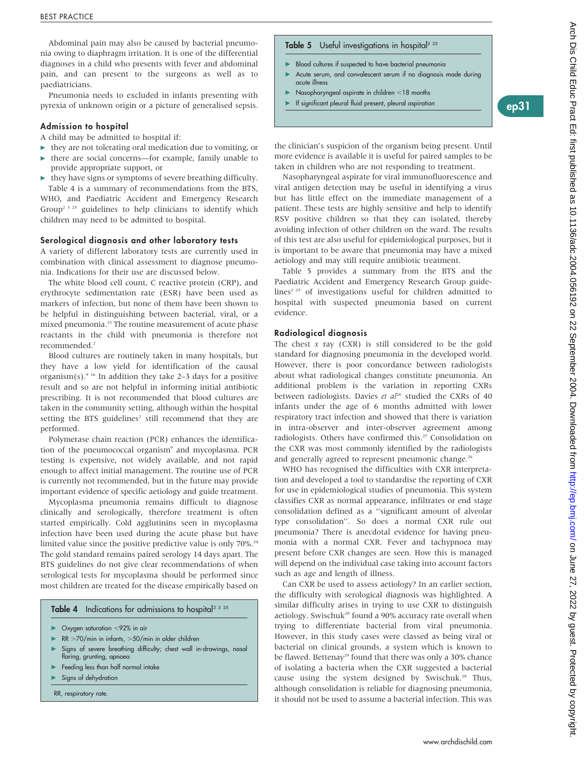Abdominal pain may also be caused by bacterial pneumonia owing to diaphragm irritation. It is one of the differential diagnoses in a child who presents with fever and abdominal pain, and can present to the surgeons as well as to paediatricians.

Pneumonia needs to excluded in infants presenting with pyrexia of unknown origin or a picture of generalised sepsis.

# Admission to hospital

A child may be admitted to hospital if:

- $\blacktriangleright$  they are not tolerating oral medication due to vomiting, or  $\blacktriangleright$  there are social concerns—for example, family unable to provide appropriate support, or
- $\blacktriangleright$  they have signs or symptoms of severe breathing difficulty.

Table 4 is a summary of recommendations from the BTS, WHO, and Paediatric Accident and Emergency Research Group<sup>2 3 25</sup> guidelines to help clinicians to identify which children may need to be admitted to hospital.

#### Serological diagnosis and other laboratory tests

A variety of different laboratory tests are currently used in combination with clinical assessment to diagnose pneumonia. Indications for their use are discussed below.

The white blood cell count, C reactive protein (CRP), and erythrocyte sedimentation rate (ESR) have been used as markers of infection, but none of them have been shown to be helpful in distinguishing between bacterial, viral, or a mixed pneumonia.<sup>23</sup> The routine measurement of acute phase reactants in the child with pneumonia is therefore not recommended.<sup>2</sup>

Blood cultures are routinely taken in many hospitals, but they have a low yield for identification of the causal organism(s).<sup>9 16</sup> In addition they take 2–3 days for a positive result and so are not helpful in informing initial antibiotic prescribing. It is not recommended that blood cultures are taken in the community setting, although within the hospital setting the BTS guidelines<sup>2</sup> still recommend that they are performed.

Polymerase chain reaction (PCR) enhances the identification of the pneumococcal organism<sup>9</sup> and mycoplasma. PCR testing is expensive, not widely available, and not rapid enough to affect initial management. The routine use of PCR is currently not recommended, but in the future may provide important evidence of specific aetiology and guide treatment.

Mycoplasma pneumonia remains difficult to diagnose clinically and serologically, therefore treatment is often started empirically. Cold agglutinins seen in mycoplasma infection have been used during the acute phase but have limited value since the positive predictive value is only 70%.<sup>24</sup> The gold standard remains paired serology 14 days apart. The BTS guidelines do not give clear recommendations of when serological tests for mycoplasma should be performed since most children are treated for the disease empirically based on

# Table 4 Indications for admissions to hospital<sup>2 3 25</sup>

- $\triangleright$  Oxygen saturation <92% in air
- RR  $>70$ /min in infants,  $>50$ /min in older children
- Signs of severe breathing difficulty; chest wall in-drawings, nasal flaring, grunting, apnoea
- Feeding less than half normal intake
- Signs of dehydration

RR, respiratory rate.

#### **Table 5** Useful investigations in hospital<sup>2 25</sup>

- Blood cultures if suspected to have bacterial pneumonia
- Acute serum, and convalescent serum if no diagnosis made during acute illness
- $\blacktriangleright$  Nasopharyngeal aspirate in children <18 months
- <sup>c</sup> If significant pleural fluid present, pleural aspiration ep31

the clinician's suspicion of the organism being present. Until more evidence is available it is useful for paired samples to be taken in children who are not responding to treatment.

Nasopharyngeal aspirate for viral immunofluorescence and viral antigen detection may be useful in identifying a virus but has little effect on the immediate management of a patient. These tests are highly sensitive and help to identify RSV positive children so that they can isolated, thereby avoiding infection of other children on the ward. The results of this test are also useful for epidemiological purposes, but it is important to be aware that pneumonia may have a mixed aetiology and may still require antibiotic treatment.

Table 5 provides a summary from the BTS and the Paediatric Accident and Emergency Research Group guidelines<sup> $2.25$ </sup> of investigations useful for children admitted to hospital with suspected pneumonia based on current evidence.

#### Radiological diagnosis

The chest  $x$  ray (CXR) is still considered to be the gold standard for diagnosing pneumonia in the developed world. However, there is poor concordance between radiologists about what radiological changes constitute pneumonia. An additional problem is the variation in reporting CXRs between radiologists. Davies et  $al^{26}$  studied the CXRs of 40 infants under the age of 6 months admitted with lower respiratory tract infection and showed that there is variation in intra-observer and inter-observer agreement among radiologists. Others have confirmed this.<sup>27</sup> Consolidation on the CXR was most commonly identified by the radiologists and generally agreed to represent pneumonic change.<sup>26</sup>

WHO has recognised the difficulties with CXR interpretation and developed a tool to standardise the reporting of CXR for use in epidemiological studies of pneumonia. This system classifies CXR as normal appearance, infiltrates or end stage consolidation defined as a ''significant amount of alveolar type consolidation''. So does a normal CXR rule out pneumonia? There is anecdotal evidence for having pneumonia with a normal CXR. Fever and tachypnoea may present before CXR changes are seen. How this is managed will depend on the individual case taking into account factors such as age and length of illness.

Can CXR be used to assess aetiology? In an earlier section, the difficulty with serological diagnosis was highlighted. A similar difficulty arises in trying to use CXR to distinguish aetiology. Swischuk<sup>28</sup> found a 90% accuracy rate overall when trying to differentiate bacterial from viral pneumonia. However, in this study cases were classed as being viral or bacterial on clinical grounds, a system which is known to be flawed. Bettenay<sup>29</sup> found that there was only a 30% chance of isolating a bacteria when the CXR suggested a bacterial cause using the system designed by Swischuk.<sup>28</sup> Thus, although consolidation is reliable for diagnosing pneumonia, it should not be used to assume a bacterial infection. This was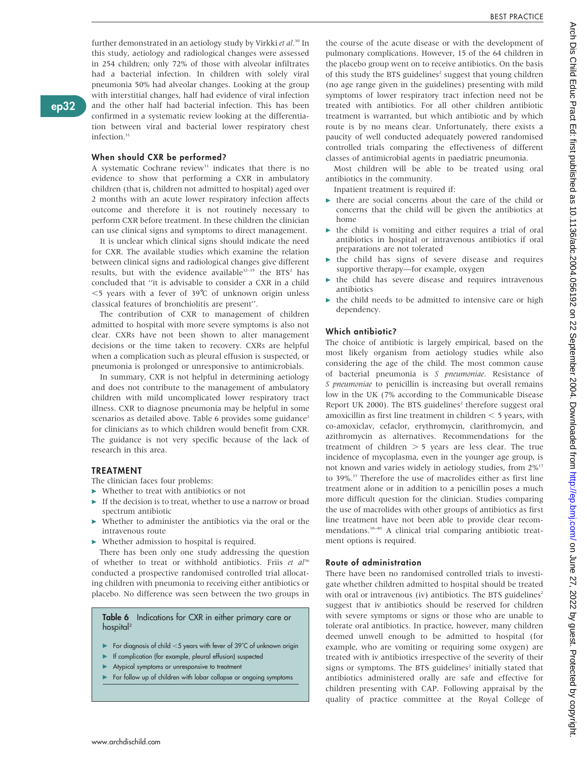further demonstrated in an aetiology study by Virkki et al.<sup>30</sup> In this study, aetiology and radiological changes were assessed in 254 children; only 72% of those with alveolar infiltrates had a bacterial infection. In children with solely viral pneumonia 50% had alveolar changes. Looking at the group with interstitial changes, half had evidence of viral infection and the other half had bacterial infection. This has been confirmed in a systematic review looking at the differentiation between viral and bacterial lower respiratory chest infection.<sup>31</sup>

ep32

# When should CXR be performed?

A systematic Cochrane review<sup>31</sup> indicates that there is no evidence to show that performing a CXR in ambulatory children (that is, children not admitted to hospital) aged over 2 months with an acute lower respiratory infection affects outcome and therefore it is not routinely necessary to perform CXR before treatment. In these children the clinician can use clinical signs and symptoms to direct management.

It is unclear which clinical signs should indicate the need for CXR. The available studies which examine the relation between clinical signs and radiological changes give different results, but with the evidence available<sup>32-35</sup> the BTS<sup>2</sup> has concluded that ''it is advisable to consider a CXR in a child  $<$ 5 years with a fever of 39 $^{\circ}$ C of unknown origin unless classical features of bronchiolitis are present''.

The contribution of CXR to management of children admitted to hospital with more severe symptoms is also not clear. CXRs have not been shown to alter management decisions or the time taken to recovery. CXRs are helpful when a complication such as pleural effusion is suspected, or pneumonia is prolonged or unresponsive to antimicrobials.

In summary, CXR is not helpful in determining aetiology and does not contribute to the management of ambulatory children with mild uncomplicated lower respiratory tract illness. CXR to diagnose pneumonia may be helpful in some scenarios as detailed above. Table 6 provides some guidance<sup>2</sup> for clinicians as to which children would benefit from CXR. The guidance is not very specific because of the lack of research in this area.

#### TREATMENT

The clinician faces four problems:

- $\blacktriangleright$  Whether to treat with antibiotics or not
- If the decision is to treat, whether to use a narrow or broad spectrum antibiotic
- Whether to administer the antibiotics via the oral or the intravenous route
- $\blacktriangleright$  Whether admission to hospital is required.

There has been only one study addressing the question of whether to treat or withhold antibiotics. Friis et  $al^{36}$ conducted a prospective randomised controlled trial allocating children with pneumonia to receiving either antibiotics or placebo. No difference was seen between the two groups in

Table 6 Indications for CXR in either primary care or hospital<sup>2</sup>

- For diagnosis of child  $<$  5 years with fever of 39°C of unknown origin
- If complication (for example, pleural effusion) suspected
- Atypical symptoms or unresponsive to treatment
- For follow up of children with lobar collapse or ongoing symptoms

the course of the acute disease or with the development of pulmonary complications. However, 15 of the 64 children in the placebo group went on to receive antibiotics. On the basis of this study the BTS guidelines<sup>2</sup> suggest that young children (no age range given in the guidelines) presenting with mild symptoms of lower respiratory tract infection need not be treated with antibiotics. For all other children antibiotic treatment is warranted, but which antibiotic and by which route is by no means clear. Unfortunately, there exists a paucity of well conducted adequately powered randomised controlled trials comparing the effectiveness of different classes of antimicrobial agents in paediatric pneumonia.

Most children will be able to be treated using oral antibiotics in the community.

Inpatient treatment is required if:

- $\triangleright$  there are social concerns about the care of the child or concerns that the child will be given the antibiotics at home
- $\blacktriangleright$  the child is vomiting and either requires a trial of oral antibiotics in hospital or intravenous antibiotics if oral preparations are not tolerated
- c the child has signs of severe disease and requires supportive therapy—for example, oxygen
- c the child has severe disease and requires intravenous antibiotics
- the child needs to be admitted to intensive care or high dependency.

#### Which antibiotic?

The choice of antibiotic is largely empirical, based on the most likely organism from aetiology studies while also considering the age of the child. The most common cause of bacterial pneumonia is S pneumoniae. Resistance of S pneumoniae to penicillin is increasing but overall remains low in the UK (7% according to the Communicable Disease Report UK 2000). The BTS guidelines<sup>2</sup> therefore suggest oral amoxicillin as first line treatment in children  $<$  5 years, with co-amoxiclav, cefaclor, erythromycin, clarithromycin, and azithromycin as alternatives. Recommendations for the treatment of children  $>$  5 years are less clear. The true incidence of mycoplasma, even in the younger age group, is not known and varies widely in aetiology studies, from 2%17 to 39%.<sup>37</sup> Therefore the use of macrolides either as first line treatment alone or in addition to a penicillin poses a much more difficult question for the clinician. Studies comparing the use of macrolides with other groups of antibiotics as first line treatment have not been able to provide clear recommendations.<sup>38-40</sup> A clinical trial comparing antibiotic treatment options is required.

#### Route of administration

There have been no randomised controlled trials to investigate whether children admitted to hospital should be treated with oral or intravenous (iv) antibiotics. The BTS guidelines<sup>2</sup> suggest that iv antibiotics should be reserved for children with severe symptoms or signs or those who are unable to tolerate oral antibiotics. In practice, however, many children deemed unwell enough to be admitted to hospital (for example, who are vomiting or requiring some oxygen) are treated with iv antibiotics irrespective of the severity of their signs or symptoms. The BTS guidelines<sup>2</sup> initially stated that antibiotics administered orally are safe and effective for children presenting with CAP. Following appraisal by the quality of practice committee at the Royal College of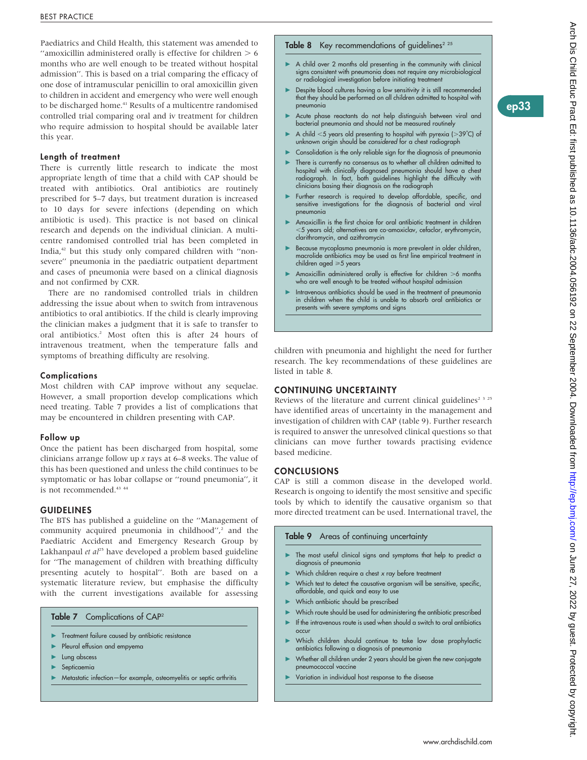Paediatrics and Child Health, this statement was amended to "amoxicillin administered orally is effective for children  $> 6$ months who are well enough to be treated without hospital admission''. This is based on a trial comparing the efficacy of one dose of intramuscular penicillin to oral amoxicillin given to children in accident and emergency who were well enough to be discharged home.<sup>41</sup> Results of a multicentre randomised controlled trial comparing oral and iv treatment for children who require admission to hospital should be available later this year.

## Length of treatment

There is currently little research to indicate the most appropriate length of time that a child with CAP should be treated with antibiotics. Oral antibiotics are routinely prescribed for 5–7 days, but treatment duration is increased to 10 days for severe infections (depending on which antibiotic is used). This practice is not based on clinical research and depends on the individual clinician. A multicentre randomised controlled trial has been completed in India,<sup>42</sup> but this study only compared children with "nonsevere'' pneumonia in the paediatric outpatient department and cases of pneumonia were based on a clinical diagnosis and not confirmed by CXR.

There are no randomised controlled trials in children addressing the issue about when to switch from intravenous antibiotics to oral antibiotics. If the child is clearly improving the clinician makes a judgment that it is safe to transfer to oral antibiotics.2 Most often this is after 24 hours of intravenous treatment, when the temperature falls and symptoms of breathing difficulty are resolving.

# **Complications**

Most children with CAP improve without any sequelae. However, a small proportion develop complications which need treating. Table 7 provides a list of complications that may be encountered in children presenting with CAP.

#### Follow up

Once the patient has been discharged from hospital, some clinicians arrange follow up  $x$  rays at 6–8 weeks. The value of this has been questioned and unless the child continues to be symptomatic or has lobar collapse or ''round pneumonia'', it is not recommended.<sup>43 44</sup>

### GUIDELINES

The BTS has published a guideline on the ''Management of community acquired pneumonia in childhood",<sup>2</sup> and the Paediatric Accident and Emergency Research Group by Lakhanpaul et  $al^{25}$  have developed a problem based guideline for ''The management of children with breathing difficulty presenting acutely to hospital''. Both are based on a systematic literature review, but emphasise the difficulty with the current investigations available for assessing

### Table 7 Complications of CAP<sup>2</sup>

- Treatment failure caused by antibiotic resistance
- Pleural effusion and empyema
- Lung abscess
- Septicaemia
- Metastatic infection—for example, osteomyelitis or septic arthritis

#### **Table 8** Key recommendations of guidelines<sup> $2,25$ </sup>

- $\triangleright$  A child over 2 months old presenting in the community with clinical signs consistent with pneumonia does not require any microbiological or radiological investigation before initiating treatment
- Despite blood cultures having a low sensitivity it is still recommended that they should be performed on all children admitted to hospital with pneumonia
- Acute phase reactants do not help distinguish between viral and bacterial pneumonia and should not be measured routinely
- A child  $<$  5 years old presenting to hospital with pyrexia ( $>$ 39°C) of unknown origin should be *considered* for a chest radiograph
- Consolidation is the only reliable sign for the diagnosis of pneumonia
- There is currently no consensus as to whether all children admitted to hospital with clinically diagnosed pneumonia should have a chest radiograph. In fact, both guidelines highlight the difficulty with clinicians basing their diagnosis on the radiograph
- Further research is required to develop affordable, specific, and sensitive investigations for the diagnosis of bacterial and viral pneumonia
- Amoxicillin is the first choice for oral antibiotic treatment in children ,5 years old; alternatives are co-amoxiclav, cefaclor, erythromycin, clarithromycin, and azithromycin
- Because mycoplasma pneumonia is more prevalent in older children, macrolide antibiotics may be used as first line empirical treatment in children aged  $\geq 5$  years
- Amoxicillin administered orally is effective for children  $>$ 6 months who are well enough to be treated without hospital admission
- Intravenous antibiotics should be used in the treatment of pneumonia in children when the child is unable to absorb oral antibiotics or presents with severe symptoms and signs

children with pneumonia and highlight the need for further research. The key recommendations of these guidelines are listed in table 8.

# CONTINUING UNCERTAINTY

Reviews of the literature and current clinical guidelines<sup>2 3 25</sup> have identified areas of uncertainty in the management and investigation of children with CAP (table 9). Further research is required to answer the unresolved clinical questions so that clinicians can move further towards practising evidence based medicine.

# **CONCLUSIONS**

CAP is still a common disease in the developed world. Research is ongoing to identify the most sensitive and specific tools by which to identify the causative organism so that more directed treatment can be used. International travel, the

# Table 9 Areas of continuing uncertainty

- The most useful clinical signs and symptoms that help to predict a diagnosis of pneumonia
- $\blacktriangleright$  Which children require a chest x ray before treatment
- Which test to detect the causative organism will be sensitive, specific, affordable, and quick and easy to use
- Which antibiotic should be prescribed
- $\blacktriangleright$  Which route should be used for administering the antibiotic prescribed
- $\blacktriangleright$  If the intravenous route is used when should a switch to oral antibiotics occur
- Which children should continue to take low dose prophylactic antibiotics following a diagnosis of pneumonia
- $\triangleright$  Whether all children under 2 years should be given the new conjugate pneumococcal vaccine
- Variation in individual host response to the disease

ep33